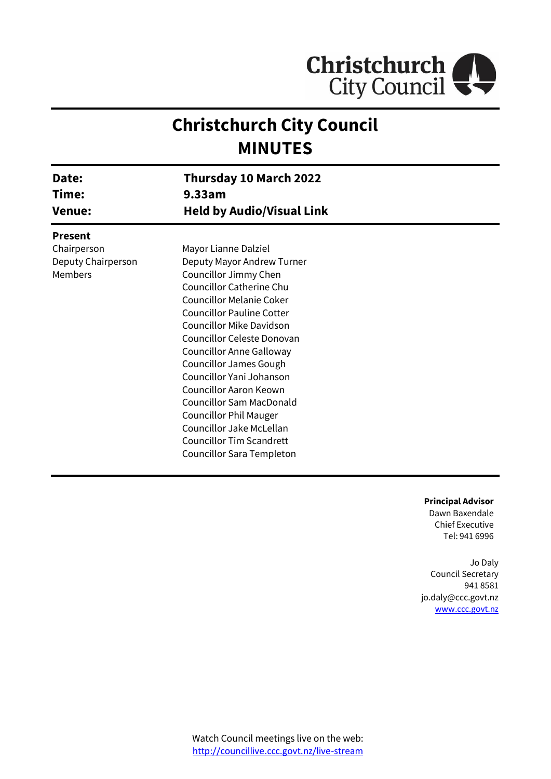

# **Christchurch City Council MINUTES**

| Date:<br>Time:<br><b>Venue:</b> | Thursday 10 March 2022<br>9.33am |  |
|---------------------------------|----------------------------------|--|
|                                 | <b>Held by Audio/Visual Link</b> |  |
| <b>Present</b>                  |                                  |  |
| Chairperson                     | Mayor Lianne Dalziel             |  |
| Deputy Chairperson              | Deputy Mayor Andrew Turner       |  |
| Members                         | Councillor Jimmy Chen            |  |
|                                 | Councillor Catherine Chu         |  |
|                                 | <b>Councillor Melanie Coker</b>  |  |
|                                 | <b>Councillor Pauline Cotter</b> |  |
|                                 | <b>Councillor Mike Davidson</b>  |  |
|                                 | Councillor Celeste Donovan       |  |
|                                 | Councillor Anne Galloway         |  |
|                                 | <b>Councillor James Gough</b>    |  |
|                                 | Councillor Yani Johanson         |  |
|                                 | <b>Councillor Aaron Keown</b>    |  |
|                                 | <b>Councillor Sam MacDonald</b>  |  |
|                                 | <b>Councillor Phil Mauger</b>    |  |
|                                 | Councillor Jake McLellan         |  |
|                                 | <b>Councillor Tim Scandrett</b>  |  |
|                                 | Councillor Sara Templeton        |  |

**Principal Advisor**

Dawn Baxendale Chief Executive Tel: 941 6996

Jo Daly Council Secretary 941 8581 jo.daly@ccc.govt.nz [www.ccc.govt.nz](http://www.ccc.govt.nz/)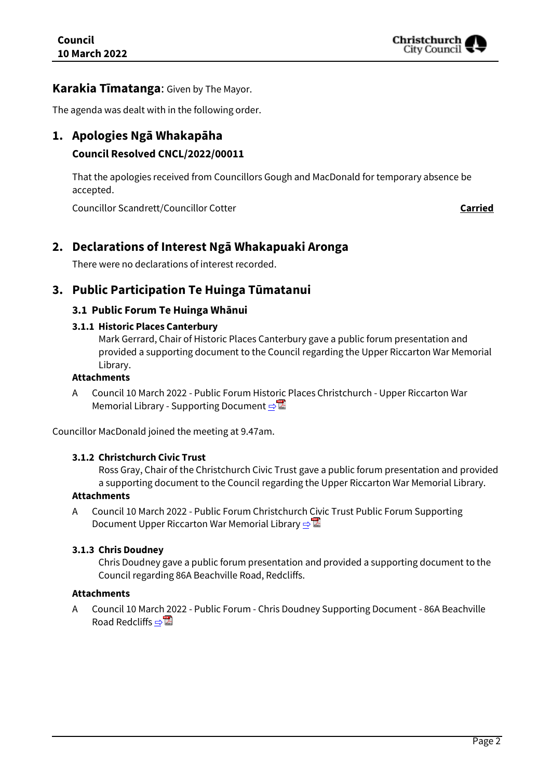

## **Karakia Tīmatanga**: Given by The Mayor.

The agenda was dealt with in the following order.

## **1. Apologies Ngā Whakapāha**

## **Council Resolved CNCL/2022/00011**

That the apologies received from Councillors Gough and MacDonald for temporary absence be accepted.

Councillor Scandrett/Councillor Cotter **Carried**

## **2. Declarations of Interest Ngā Whakapuaki Aronga**

There were no declarations of interest recorded.

## **3. Public Participation Te Huinga Tūmatanui**

## **3.1 Public Forum Te Huinga Whānui**

## **3.1.1 Historic Places Canterbury**

Mark Gerrard, Chair of Historic Places Canterbury gave a public forum presentation and provided a supporting document to the Council regarding the Upper Riccarton War Memorial Library.

## **Attachments**

A Council 10 March 2022 - Public Forum Historic Places Christchurch - Upper Riccarton War Memorial Library - Supporting Document [⇨](../../../RedirectToInvalidFileName.aspx?FileName=CNCL_20220310_MAT_7421.PDF#PAGE=4)

Councillor MacDonald joined the meeting at 9.47am.

#### **3.1.2 Christchurch Civic Trust**

Ross Gray, Chair of the Christchurch Civic Trust gave a public forum presentation and provided a supporting document to the Council regarding the Upper Riccarton War Memorial Library.

## **Attachments**

A Council 10 March 2022 - Public Forum Christchurch Civic Trust Public Forum Supporting Document Upper Riccarton War Memorial Library ⇒

#### **3.1.3 Chris Doudney**

Chris Doudney gave a public forum presentation and provided a supporting document to the Council regarding 86A Beachville Road, Redcliffs.

#### **Attachments**

A Council 10 March 2022 - Public Forum - Chris Doudney Supporting Document - 86A Beachville Road Redcliffs  $\Rightarrow$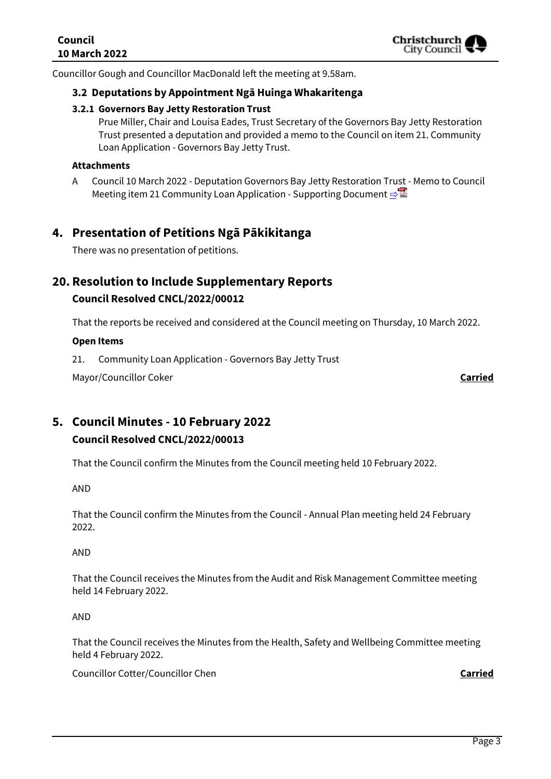Councillor Gough and Councillor MacDonald left the meeting at 9.58am.

## **3.2 Deputations by Appointment Ngā Huinga Whakaritenga**

#### **3.2.1 Governors Bay Jetty Restoration Trust**

Prue Miller, Chair and Louisa Eades, Trust Secretary of the Governors Bay Jetty Restoration Trust presented a deputation and provided a memo to the Council on item 21. Community Loan Application - Governors Bay Jetty Trust.

#### **Attachments**

A Council 10 March 2022 - Deputation Governors Bay Jetty Restoration Trust - Memo to Council Meeting item 21 Community Loan Application - Supporting Document **[⇨](../../../RedirectToInvalidFileName.aspx?FileName=CNCL_20220310_MAT_7421.PDF#PAGE=8)</u>।** 

## **4. Presentation of Petitions Ngā Pākikitanga**

There was no presentation of petitions.

## **20. Resolution to Include Supplementary Reports Council Resolved CNCL/2022/00012**

That the reports be received and considered at the Council meeting on Thursday, 10 March 2022.

#### **Open Items**

21. Community Loan Application - Governors Bay Jetty Trust

Mayor/Councillor Coker **Carried**

## **5. Council Minutes - 10 February 2022 Council Resolved CNCL/2022/00013**

That the Council confirm the Minutes from the Council meeting held 10 February 2022.

AND

That the Council confirm the Minutes from the Council - Annual Plan meeting held 24 February 2022.

AND

That the Council receives the Minutes from the Audit and Risk Management Committee meeting held 14 February 2022.

AND

That the Council receives the Minutes from the Health, Safety and Wellbeing Committee meeting held 4 February 2022.

Councillor Cotter/Councillor Chen **Carried**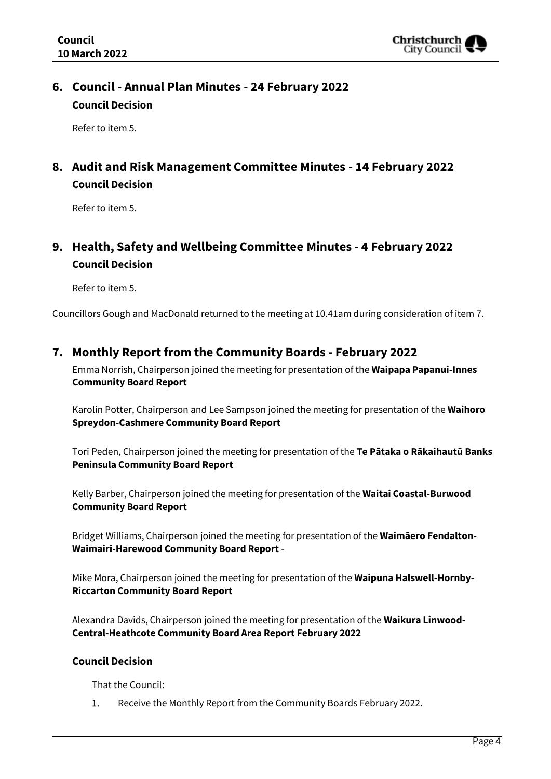

## **6. Council - Annual Plan Minutes - 24 February 2022 Council Decision**

Refer to item 5.

## **8. Audit and Risk Management Committee Minutes - 14 February 2022 Council Decision**

Refer to item 5.

## **9. Health, Safety and Wellbeing Committee Minutes - 4 February 2022 Council Decision**

Refer to item 5.

Councillors Gough and MacDonald returned to the meeting at 10.41am during consideration of item 7.

## **7. Monthly Report from the Community Boards - February 2022**

Emma Norrish, Chairperson joined the meeting for presentation of the **Waipapa Papanui-Innes Community Board Report**

Karolin Potter, Chairperson and Lee Sampson joined the meeting for presentation of the **Waihoro Spreydon-Cashmere Community Board Report**

Tori Peden, Chairperson joined the meeting for presentation of the **Te Pātaka o Rākaihautū Banks Peninsula Community Board Report**

Kelly Barber, Chairperson joined the meeting for presentation of the **Waitai Coastal-Burwood Community Board Report**

Bridget Williams, Chairperson joined the meeting for presentation of the **Waimāero Fendalton-Waimairi-Harewood Community Board Report** -

Mike Mora, Chairperson joined the meeting for presentation of the **Waipuna Halswell-Hornby-Riccarton Community Board Report**

Alexandra Davids, Chairperson joined the meeting for presentation of the **Waikura Linwood-Central-Heathcote Community Board Area Report February 2022**

## **Council Decision**

That the Council:

1. Receive the Monthly Report from the Community Boards February 2022.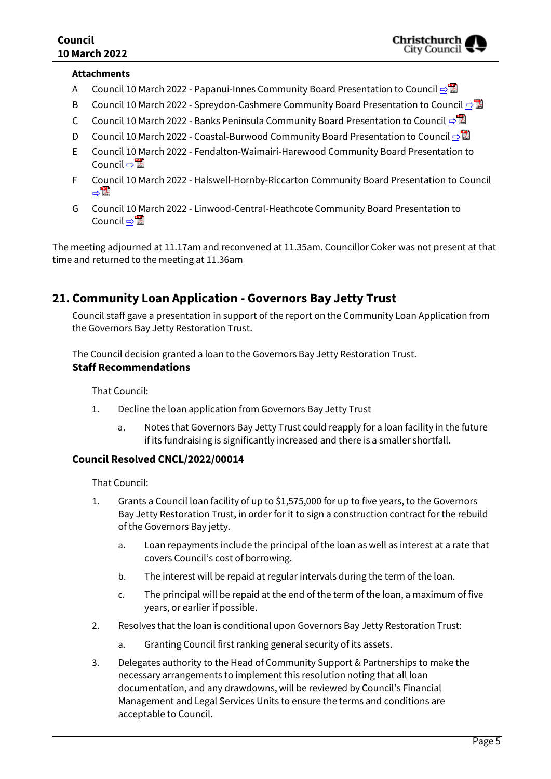#### **Attachments**

- A Council 10 March 2022 Papanui-Innes Community Board Presentation to Council  $\triangle^{\boxtimes}$
- B Council 10 March 2022 Spreydon-Cashmere Community Board Presentation to Council **[⇨](../../../RedirectToInvalidFileName.aspx?FileName=CNCL_20220310_MAT_7421.PDF#PAGE=18)</u>립**
- C Council 10 March 2022 Banks Peninsula Community Board Presentation to Council [⇨](../../../RedirectToInvalidFileName.aspx?FileName=CNCL_20220310_MAT_7421.PDF#PAGE=24)
- D Council 10 March 2022 Coastal-Burwood Community Board Presentation to Council [⇨](../../../RedirectToInvalidFileName.aspx?FileName=CNCL_20220310_MAT_7421.PDF#PAGE=31)
- E Council 10 March 2022 Fendalton-Waimairi-Harewood Community Board Presentation to Council ⇔ a
- F Council 10 March 2022 Halswell-Hornby-Riccarton Community Board Presentation to Council [⇨](../../../RedirectToInvalidFileName.aspx?FileName=CNCL_20220310_MAT_7421.PDF#PAGE=41)
- G Council 10 March 2022 Linwood-Central-Heathcote Community Board Presentation to Council ⇔ a

The meeting adjourned at 11.17am and reconvened at 11.35am. Councillor Coker was not present at that time and returned to the meeting at 11.36am

## **21. Community Loan Application - Governors Bay Jetty Trust**

Council staff gave a presentation in support of the report on the Community Loan Application from the Governors Bay Jetty Restoration Trust.

The Council decision granted a loan to the Governors Bay Jetty Restoration Trust. **Staff Recommendations**

That Council:

- 1. Decline the loan application from Governors Bay Jetty Trust
	- a. Notes that Governors Bay Jetty Trust could reapply for a loan facility in the future if its fundraising is significantly increased and there is a smaller shortfall.

## **Council Resolved CNCL/2022/00014**

That Council:

- 1. Grants a Council loan facility of up to \$1,575,000 for up to five years, to the Governors Bay Jetty Restoration Trust, in order for it to sign a construction contract for the rebuild of the Governors Bay jetty.
	- a. Loan repayments include the principal of the loan as well as interest at a rate that covers Council's cost of borrowing.
	- b. The interest will be repaid at regular intervals during the term of the loan.
	- c. The principal will be repaid at the end of the term of the loan, a maximum of five years, or earlier if possible.
- 2. Resolves that the loan is conditional upon Governors Bay Jetty Restoration Trust:
	- a. Granting Council first ranking general security of its assets.
- 3. Delegates authority to the Head of Community Support & Partnerships to make the necessary arrangements to implement this resolution noting that all loan documentation, and any drawdowns, will be reviewed by Council's Financial Management and Legal Services Units to ensure the terms and conditions are acceptable to Council.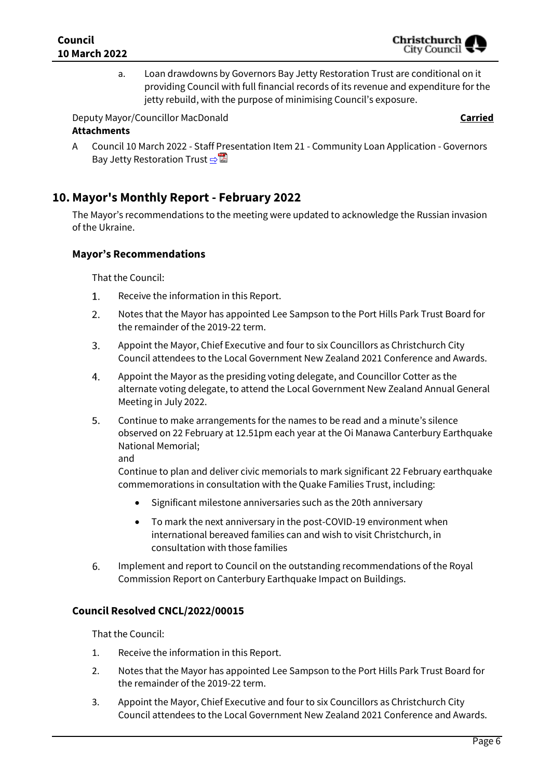a. Loan drawdowns by Governors Bay Jetty Restoration Trust are conditional on it providing Council with full financial records of its revenue and expenditure for the jetty rebuild, with the purpose of minimising Council's exposure.

Deputy Mayor/Councillor MacDonald **Carried Attachments**

A Council 10 March 2022 - Staff Presentation Item 21 - Community Loan Application - Governors Bay Jetty Restoration Trust [⇨](../../../RedirectToInvalidFileName.aspx?FileName=CNCL_20220310_MAT_7421.PDF#PAGE=54)

## **10. Mayor's Monthly Report - February 2022**

The Mayor's recommendations to the meeting were updated to acknowledge the Russian invasion of the Ukraine.

## **Mayor's Recommendations**

That the Council:

- Receive the information in this Report. 1.
- $2.$ Notes that the Mayor has appointed Lee Sampson to the Port Hills Park Trust Board for the remainder of the 2019-22 term.
- 3. Appoint the Mayor, Chief Executive and four to six Councillors as Christchurch City Council attendees to the Local Government New Zealand 2021 Conference and Awards.
- 4. Appoint the Mayor as the presiding voting delegate, and Councillor Cotter as the alternate voting delegate, to attend the Local Government New Zealand Annual General Meeting in July 2022.
- 5. Continue to make arrangements for the names to be read and a minute's silence observed on 22 February at 12.51pm each year at the Oi Manawa Canterbury Earthquake National Memorial;

and

Continue to plan and deliver civic memorials to mark significant 22 February earthquake commemorations in consultation with the Quake Families Trust, including:

- Significant milestone anniversaries such as the 20th anniversary
- To mark the next anniversary in the post-COVID-19 environment when international bereaved families can and wish to visit Christchurch, in consultation with those families
- 6. Implement and report to Council on the outstanding recommendations of the Royal Commission Report on Canterbury Earthquake Impact on Buildings.

## **Council Resolved CNCL/2022/00015**

That the Council:

- 1. Receive the information in this Report.
- 2. Notes that the Mayor has appointed Lee Sampson to the Port Hills Park Trust Board for the remainder of the 2019-22 term.
- 3. Appoint the Mayor, Chief Executive and four to six Councillors as Christchurch City Council attendees to the Local Government New Zealand 2021 Conference and Awards.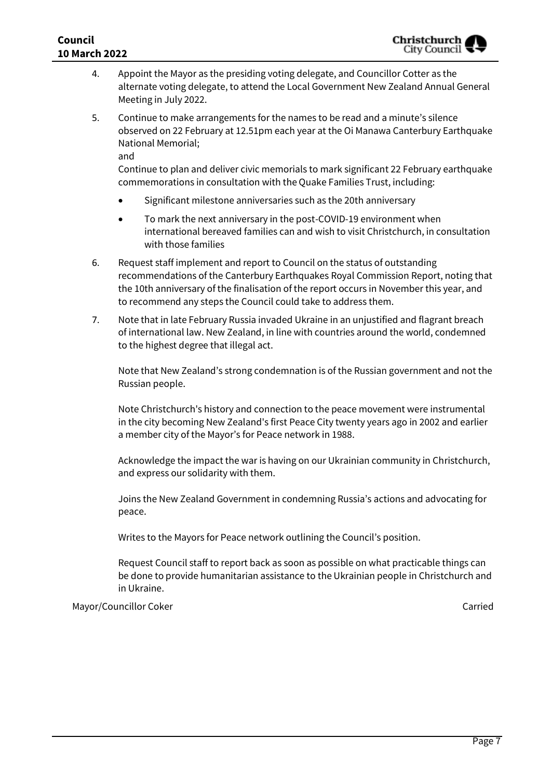- 4. Appoint the Mayor as the presiding voting delegate, and Councillor Cotter as the alternate voting delegate, to attend the Local Government New Zealand Annual General Meeting in July 2022.
- 5. Continue to make arrangements for the names to be read and a minute's silence observed on 22 February at 12.51pm each year at the Oi Manawa Canterbury Earthquake National Memorial;

and

Continue to plan and deliver civic memorials to mark significant 22 February earthquake commemorations in consultation with the Quake Families Trust, including:

- Significant milestone anniversaries such as the 20th anniversary
- To mark the next anniversary in the post-COVID-19 environment when international bereaved families can and wish to visit Christchurch, in consultation with those families
- 6. Request staff implement and report to Council on the status of outstanding recommendations of the Canterbury Earthquakes Royal Commission Report, noting that the 10th anniversary of the finalisation of the report occurs in November this year, and to recommend any steps the Council could take to address them.
- 7. Note that in late February Russia invaded Ukraine in an unjustified and flagrant breach of international law. New Zealand, in line with countries around the world, condemned to the highest degree that illegal act.

Note that New Zealand's strong condemnation is of the Russian government and not the Russian people.

Note Christchurch's history and connection to the peace movement were instrumental in the city becoming New Zealand's first Peace City twenty years ago in 2002 and earlier a member city of the Mayor's for Peace network in 1988.

Acknowledge the impact the war is having on our Ukrainian community in Christchurch, and express our solidarity with them.

Joins the New Zealand Government in condemning Russia's actions and advocating for peace.

Writes to the Mayors for Peace network outlining the Council's position.

Request Council staff to report back as soon as possible on what practicable things can be done to provide humanitarian assistance to the Ukrainian people in Christchurch and in Ukraine.

Mayor/Councillor Coker Carried Carried Carried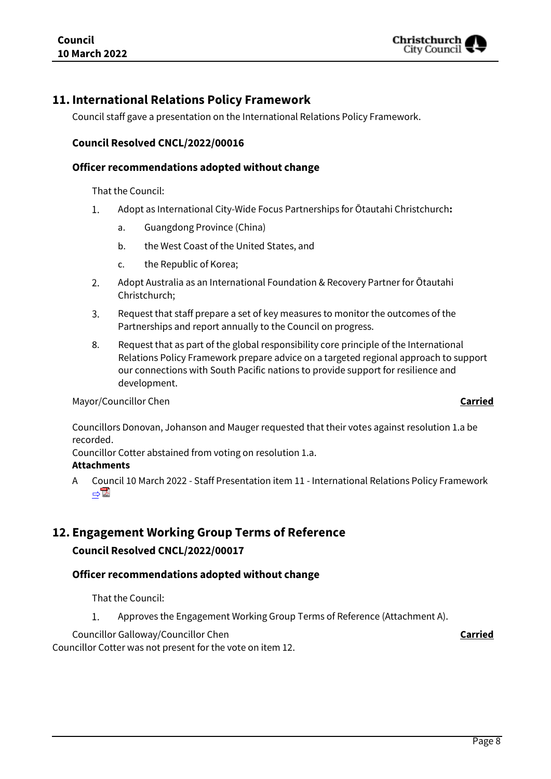

## **11. International Relations Policy Framework**

Council staff gave a presentation on the International Relations Policy Framework.

## **Council Resolved CNCL/2022/00016**

#### **Officer recommendations adopted without change**

That the Council:

- $1.$ Adopt as International City-Wide Focus Partnerships for Ōtautahi Christchurch**:**
	- a. Guangdong Province (China)
	- b. the West Coast of the United States, and
	- c. the Republic of Korea;
- 2. Adopt Australia as an International Foundation & Recovery Partner for Ōtautahi Christchurch;
- $3.$ Request that staff prepare a set of key measures to monitor the outcomes of the Partnerships and report annually to the Council on progress.
- 8. Request that as part of the global responsibility core principle of the International Relations Policy Framework prepare advice on a targeted regional approach to support our connections with South Pacific nations to provide support for resilience and development.

#### Mayor/Councillor Chen **Carried**

Councillors Donovan, Johanson and Mauger requested that their votes against resolution 1.a be recorded.

Councillor Cotter abstained from voting on resolution 1.a. **Attachments**

A Council 10 March 2022 - Staff Presentation item 11 - International Relations Policy Framework [⇨](../../../RedirectToInvalidFileName.aspx?FileName=CNCL_20220310_MAT_7421.PDF#PAGE=56)

## **12. Engagement Working Group Terms of Reference**

#### **Council Resolved CNCL/2022/00017**

## **Officer recommendations adopted without change**

That the Council:

 $1.$ Approves the Engagement Working Group Terms of Reference (Attachment A).

Councillor Galloway/Councillor Chen **Carried**

Councillor Cotter was not present for the vote on item 12.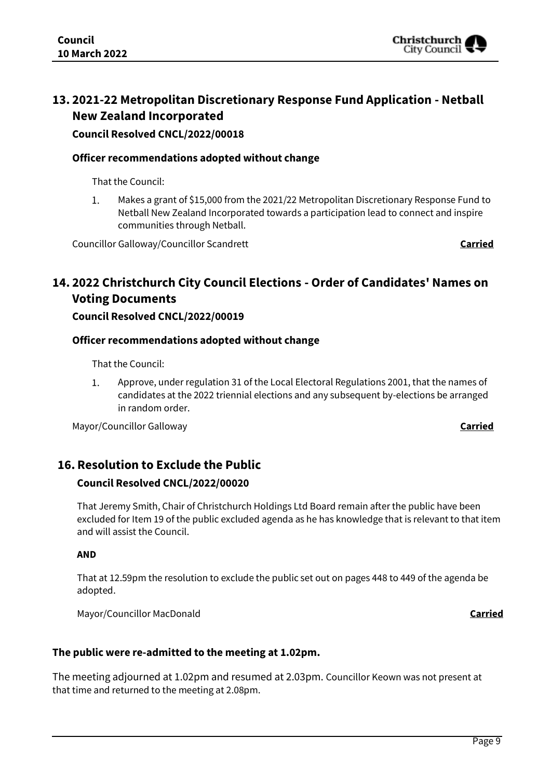

## **13. 2021-22 Metropolitan Discretionary Response Fund Application - Netball New Zealand Incorporated**

## **Council Resolved CNCL/2022/00018**

## **Officer recommendations adopted without change**

That the Council:

 $\mathbf{1}$ . Makes a grant of \$15,000 from the 2021/22 Metropolitan Discretionary Response Fund to Netball New Zealand Incorporated towards a participation lead to connect and inspire communities through Netball.

Councillor Galloway/Councillor Scandrett **Carried**

## **14. 2022 Christchurch City Council Elections - Order of Candidates' Names on Voting Documents**

## **Council Resolved CNCL/2022/00019**

## **Officer recommendations adopted without change**

That the Council:

 $1<sub>1</sub>$ Approve, under regulation 31 of the Local Electoral Regulations 2001, that the names of candidates at the 2022 triennial elections and any subsequent by-elections be arranged in random order.

Mayor/Councillor Galloway **Carried**

## **16. Resolution to Exclude the Public**

## **Council Resolved CNCL/2022/00020**

That Jeremy Smith, Chair of Christchurch Holdings Ltd Board remain after the public have been excluded for Item 19 of the public excluded agenda as he has knowledge that is relevant to that item and will assist the Council.

#### **AND**

That at 12.59pm the resolution to exclude the public set out on pages 448 to 449 of the agenda be adopted.

Mayor/Councillor MacDonald **Carried**

## **The public were re-admitted to the meeting at 1.02pm.**

The meeting adjourned at 1.02pm and resumed at 2.03pm. Councillor Keown was not present at that time and returned to the meeting at 2.08pm.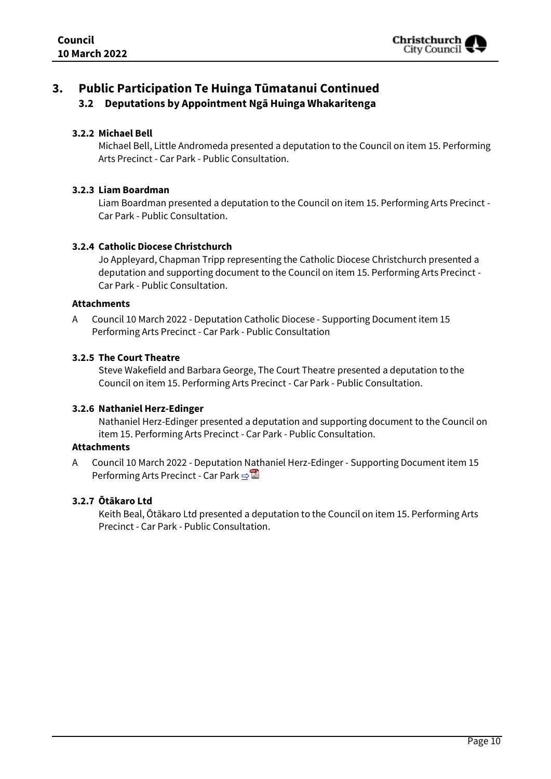

## **3. Public Participation Te Huinga Tūmatanui Continued 3.2 Deputations by Appointment Ngā Huinga Whakaritenga**

## **3.2.2 Michael Bell**

Michael Bell, Little Andromeda presented a deputation to the Council on item 15. Performing Arts Precinct - Car Park - Public Consultation.

#### **3.2.3 Liam Boardman**

Liam Boardman presented a deputation to the Council on item 15. Performing Arts Precinct - Car Park - Public Consultation.

#### **3.2.4 Catholic Diocese Christchurch**

Jo Appleyard, Chapman Tripp representing the Catholic Diocese Christchurch presented a deputation and supporting document to the Council on item 15. Performing Arts Precinct - Car Park - Public Consultation.

#### **Attachments**

A Council 10 March 2022 - Deputation Catholic Diocese - Supporting Document item 15 Performing Arts Precinct - Car Park - Public Consultation

#### **3.2.5 The Court Theatre**

Steve Wakefield and Barbara George, The Court Theatre presented a deputation to the Council on item 15. Performing Arts Precinct - Car Park - Public Consultation.

#### **3.2.6 Nathaniel Herz-Edinger**

Nathaniel Herz-Edinger presented a deputation and supporting document to the Council on item 15. Performing Arts Precinct - Car Park - Public Consultation.

#### **Attachments**

A Council 10 March 2022 - Deputation Nathaniel Herz-Edinger - Supporting Document item 15 Performing Arts Precinct - Car Park **[⇨](../../../RedirectToInvalidFileName.aspx?FileName=CNCL_20220310_MAT_7421.PDF#PAGE=80)</u>** 

#### **3.2.7 Ōtākaro Ltd**

Keith Beal, Ōtākaro Ltd presented a deputation to the Council on item 15. Performing Arts Precinct - Car Park - Public Consultation.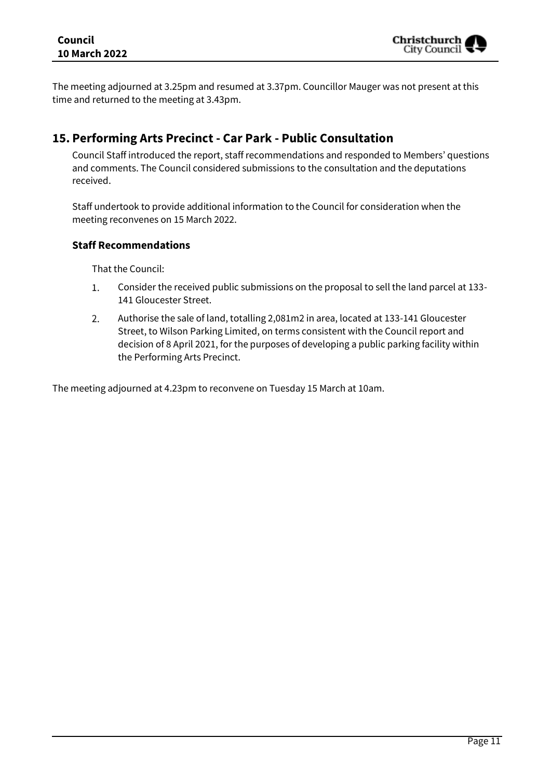The meeting adjourned at 3.25pm and resumed at 3.37pm. Councillor Mauger was not present at this time and returned to the meeting at 3.43pm.

## **15. Performing Arts Precinct - Car Park - Public Consultation**

Council Staff introduced the report, staff recommendations and responded to Members' questions and comments. The Council considered submissions to the consultation and the deputations received.

Staff undertook to provide additional information to the Council for consideration when the meeting reconvenes on 15 March 2022.

## **Staff Recommendations**

That the Council:

- 1. Consider the received public submissions on the proposal to sell the land parcel at 133- 141 Gloucester Street.
- $2.$ Authorise the sale of land, totalling 2,081m2 in area, located at 133-141 Gloucester Street, to Wilson Parking Limited, on terms consistent with the Council report and decision of 8 April 2021, for the purposes of developing a public parking facility within the Performing Arts Precinct.

The meeting adjourned at 4.23pm to reconvene on Tuesday 15 March at 10am.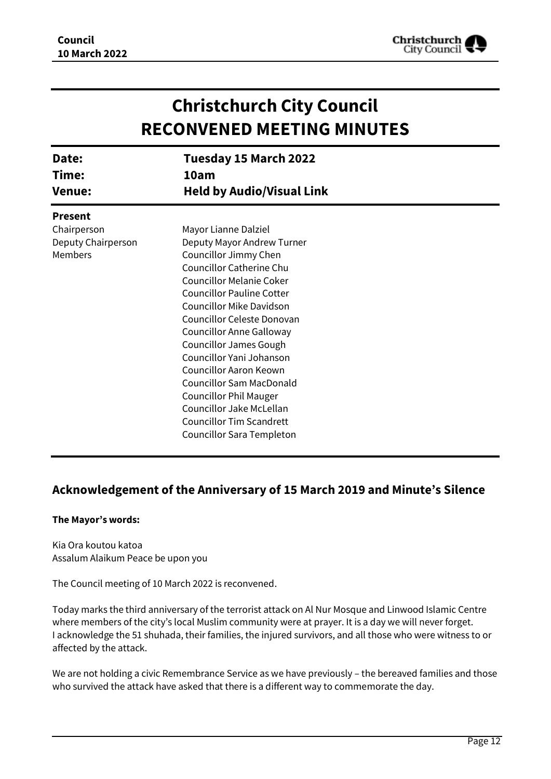

| <b>Christchurch City Council</b><br><b>RECONVENED MEETING MINUTES</b> |                                                                                                                                                                                                                                                                                                                                                                                                                                                                           |  |
|-----------------------------------------------------------------------|---------------------------------------------------------------------------------------------------------------------------------------------------------------------------------------------------------------------------------------------------------------------------------------------------------------------------------------------------------------------------------------------------------------------------------------------------------------------------|--|
| Date:<br>Time:<br><b>Venue:</b>                                       | Tuesday 15 March 2022<br>10am<br><b>Held by Audio/Visual Link</b>                                                                                                                                                                                                                                                                                                                                                                                                         |  |
| <b>Present</b><br>Chairperson<br>Deputy Chairperson<br><b>Members</b> | Mayor Lianne Dalziel<br>Deputy Mayor Andrew Turner<br>Councillor Jimmy Chen<br>Councillor Catherine Chu<br><b>Councillor Melanie Coker</b><br><b>Councillor Pauline Cotter</b><br>Councillor Mike Davidson<br>Councillor Celeste Donovan<br><b>Councillor Anne Galloway</b><br><b>Councillor James Gough</b><br>Councillor Yani Johanson<br><b>Councillor Aaron Keown</b><br><b>Councillor Sam MacDonald</b><br><b>Councillor Phil Mauger</b><br>Councillor Jake McLellan |  |
|                                                                       | <b>Councillor Tim Scandrett</b><br>Councillor Sara Templeton                                                                                                                                                                                                                                                                                                                                                                                                              |  |

## **Acknowledgement of the Anniversary of 15 March 2019 and Minute's Silence**

#### **The Mayor's words:**

Kia Ora koutou katoa Assalum Alaikum Peace be upon you

The Council meeting of 10 March 2022 is reconvened.

Today marks the third anniversary of the terrorist attack on Al Nur Mosque and Linwood Islamic Centre where members of the city's local Muslim community were at prayer. It is a day we will never forget. I acknowledge the 51 shuhada, their families, the injured survivors, and all those who were witness to or affected by the attack.

We are not holding a civic Remembrance Service as we have previously – the bereaved families and those who survived the attack have asked that there is a different way to commemorate the day.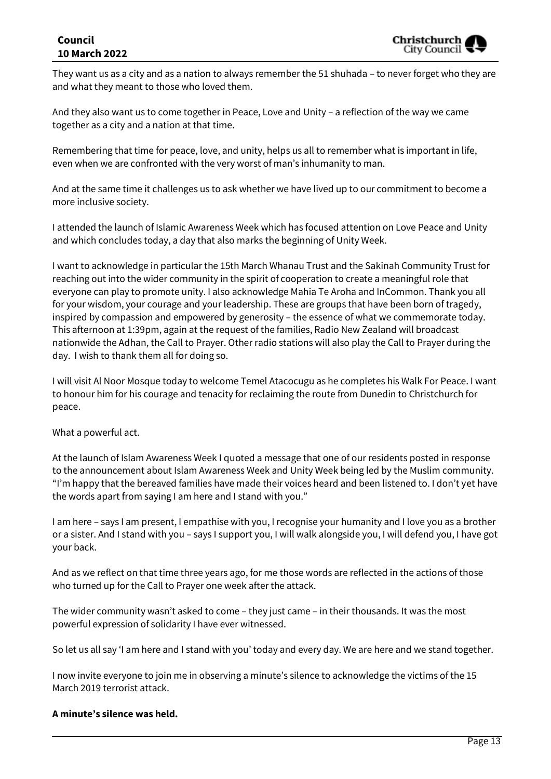## **Council 10 March 2022**

They want us as a city and as a nation to always remember the 51 shuhada – to never forget who they are and what they meant to those who loved them.

And they also want us to come together in Peace, Love and Unity – a reflection of the way we came together as a city and a nation at that time.

Remembering that time for peace, love, and unity, helps us all to remember what is important in life, even when we are confronted with the very worst of man's inhumanity to man.

And at the same time it challenges us to ask whether we have lived up to our commitment to become a more inclusive society.

I attended the launch of Islamic Awareness Week which has focused attention on Love Peace and Unity and which concludes today, a day that also marks the beginning of Unity Week.

I want to acknowledge in particular the 15th March Whanau Trust and the Sakinah Community Trust for reaching out into the wider community in the spirit of cooperation to create a meaningful role that everyone can play to promote unity. I also acknowledge Mahia Te Aroha and InCommon. Thank you all for your wisdom, your courage and your leadership. These are groups that have been born of tragedy, inspired by compassion and empowered by generosity – the essence of what we commemorate today. This afternoon at 1:39pm, again at the request of the families, Radio New Zealand will broadcast nationwide the Adhan, the Call to Prayer. Other radio stations will also play the Call to Prayer during the day. I wish to thank them all for doing so.

I will visit Al Noor Mosque today to welcome Temel Atacocugu as he completes his Walk For Peace. I want to honour him for his courage and tenacity for reclaiming the route from Dunedin to Christchurch for peace.

What a powerful act.

At the launch of Islam Awareness Week I quoted a message that one of our residents posted in response to the announcement about Islam Awareness Week and Unity Week being led by the Muslim community. "I'm happy that the bereaved families have made their voices heard and been listened to. I don't yet have the words apart from saying I am here and I stand with you."

I am here – says I am present, I empathise with you, I recognise your humanity and I love you as a brother or a sister. And I stand with you – says I support you, I will walk alongside you, I will defend you, I have got your back.

And as we reflect on that time three years ago, for me those words are reflected in the actions of those who turned up for the Call to Prayer one week after the attack.

The wider community wasn't asked to come – they just came – in their thousands. It was the most powerful expression of solidarity I have ever witnessed.

So let us all say 'I am here and I stand with you' today and every day. We are here and we stand together.

I now invite everyone to join me in observing a minute's silence to acknowledge the victims of the 15 March 2019 terrorist attack.

#### **A minute's silence was held.**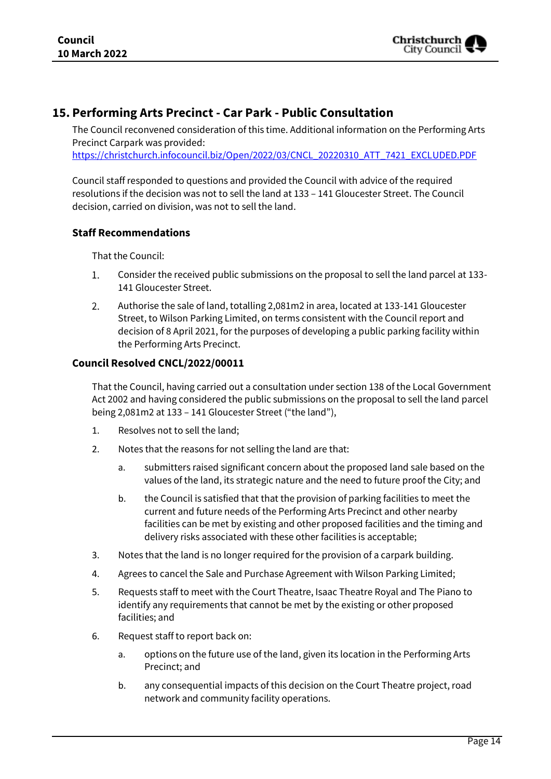

## **15. Performing Arts Precinct - Car Park - Public Consultation**

The Council reconvened consideration of this time. Additional information on the Performing Arts Precinct Carpark was provided:

[https://christchurch.infocouncil.biz/Open/2022/03/CNCL\\_20220310\\_ATT\\_7421\\_EXCLUDED.PDF](https://christchurch.infocouncil.biz/Open/2022/03/CNCL_20220310_ATT_7421_EXCLUDED.PDF)

Council staff responded to questions and provided the Council with advice of the required resolutions if the decision was not to sell the land at 133 – 141 Gloucester Street. The Council decision, carried on division, was not to sell the land.

## **Staff Recommendations**

That the Council:

- $1.$ Consider the received public submissions on the proposal to sell the land parcel at 133- 141 Gloucester Street.
- $2.$ Authorise the sale of land, totalling 2,081m2 in area, located at 133-141 Gloucester Street, to Wilson Parking Limited, on terms consistent with the Council report and decision of 8 April 2021, for the purposes of developing a public parking facility within the Performing Arts Precinct.

## **Council Resolved CNCL/2022/00011**

That the Council, having carried out a consultation under section 138 of the Local Government Act 2002 and having considered the public submissions on the proposal to sell the land parcel being 2,081m2 at 133 – 141 Gloucester Street ("the land"),

- 1. Resolves not to sell the land;
- 2. Notes that the reasons for not selling the land are that:
	- a. submitters raised significant concern about the proposed land sale based on the values of the land, its strategic nature and the need to future proof the City; and
	- b. the Council is satisfied that that the provision of parking facilities to meet the current and future needs of the Performing Arts Precinct and other nearby facilities can be met by existing and other proposed facilities and the timing and delivery risks associated with these other facilities is acceptable;
- 3. Notes that the land is no longer required for the provision of a carpark building.
- 4. Agrees to cancel the Sale and Purchase Agreement with Wilson Parking Limited;
- 5. Requests staff to meet with the Court Theatre, Isaac Theatre Royal and The Piano to identify any requirements that cannot be met by the existing or other proposed facilities; and
- 6. Request staff to report back on:
	- a. options on the future use of the land, given its location in the Performing Arts Precinct; and
	- b. any consequential impacts of this decision on the Court Theatre project, road network and community facility operations.